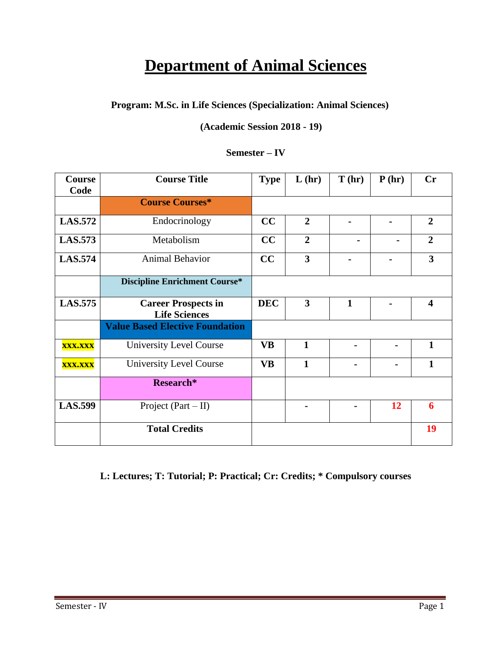# **Department of Animal Sciences**

# **Program: M.Sc. in Life Sciences (Specialization: Animal Sciences)**

### **(Academic Session 2018 - 19)**

### **Semester – IV**

| Course<br>Code | <b>Course Title</b>                                | <b>Type</b> | L(hr)                   | T(hr)        | P(hr) | <b>Cr</b>               |
|----------------|----------------------------------------------------|-------------|-------------------------|--------------|-------|-------------------------|
|                | <b>Course Courses*</b>                             |             |                         |              |       |                         |
| <b>LAS.572</b> | Endocrinology                                      | CC          | $\overline{2}$          |              |       | $\overline{2}$          |
| <b>LAS.573</b> | Metabolism                                         | CC          | $\overline{2}$          |              |       | $\overline{2}$          |
| <b>LAS.574</b> | <b>Animal Behavior</b>                             | CC          | $\overline{\mathbf{3}}$ |              |       | $\overline{\mathbf{3}}$ |
|                | <b>Discipline Enrichment Course*</b>               |             |                         |              |       |                         |
| <b>LAS.575</b> | <b>Career Prospects in</b><br><b>Life Sciences</b> | <b>DEC</b>  | 3                       | $\mathbf{1}$ |       | $\overline{\mathbf{4}}$ |
|                | <b>Value Based Elective Foundation</b>             |             |                         |              |       |                         |
| <b>XXX.XXX</b> | University Level Course                            | <b>VB</b>   | $\mathbf{1}$            |              |       | $\mathbf{1}$            |
| <b>XXX.XXX</b> | University Level Course                            | <b>VB</b>   | 1                       |              |       | 1                       |
|                | Research*                                          |             |                         |              |       |                         |
| <b>LAS.599</b> | Project $(Part - II)$                              |             |                         |              | 12    | 6                       |
|                | <b>Total Credits</b>                               |             |                         |              |       | 19                      |

# **L: Lectures; T: Tutorial; P: Practical; Cr: Credits; \* Compulsory courses**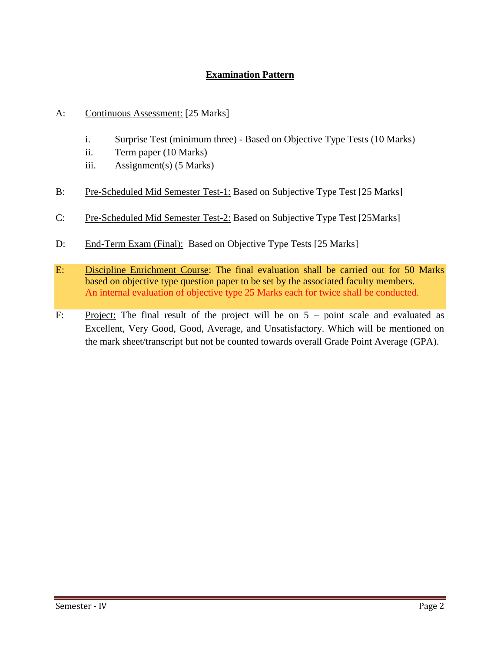# **Examination Pattern**

- A: Continuous Assessment: [25 Marks]
	- i. Surprise Test (minimum three) Based on Objective Type Tests (10 Marks)
	- ii. Term paper (10 Marks)
	- iii. Assignment(s) (5 Marks)
- B: Pre-Scheduled Mid Semester Test-1: Based on Subjective Type Test [25 Marks]
- C: Pre-Scheduled Mid Semester Test-2: Based on Subjective Type Test [25Marks]
- D: End-Term Exam (Final): Based on Objective Type Tests [25 Marks]
- E: Discipline Enrichment Course: The final evaluation shall be carried out for 50 Marks based on objective type question paper to be set by the associated faculty members. An internal evaluation of objective type 25 Marks each for twice shall be conducted.
- F: Project: The final result of the project will be on  $5$  point scale and evaluated as Excellent, Very Good, Good, Average, and Unsatisfactory. Which will be mentioned on the mark sheet/transcript but not be counted towards overall Grade Point Average (GPA).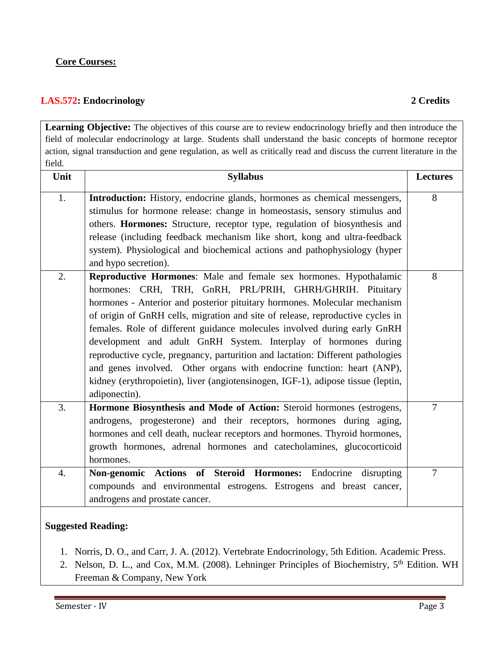### **Core Courses:**

### **LAS.572: Endocrinology 2 Credits**

Learning Objective: The objectives of this course are to review endocrinology briefly and then introduce the field of molecular endocrinology at large. Students shall understand the basic concepts of hormone receptor action, signal transduction and gene regulation, as well as critically read and discuss the current literature in the field.

| Unit             | <b>Syllabus</b>                                                                                                                                                                                                                                                                                                                                                                                                                                                                                                                                                                                                                                                                                                | <b>Lectures</b> |
|------------------|----------------------------------------------------------------------------------------------------------------------------------------------------------------------------------------------------------------------------------------------------------------------------------------------------------------------------------------------------------------------------------------------------------------------------------------------------------------------------------------------------------------------------------------------------------------------------------------------------------------------------------------------------------------------------------------------------------------|-----------------|
| 1.               | Introduction: History, endocrine glands, hormones as chemical messengers,                                                                                                                                                                                                                                                                                                                                                                                                                                                                                                                                                                                                                                      | 8               |
|                  | stimulus for hormone release: change in homeostasis, sensory stimulus and                                                                                                                                                                                                                                                                                                                                                                                                                                                                                                                                                                                                                                      |                 |
|                  | others. Hormones: Structure, receptor type, regulation of biosynthesis and                                                                                                                                                                                                                                                                                                                                                                                                                                                                                                                                                                                                                                     |                 |
|                  | release (including feedback mechanism like short, kong and ultra-feedback                                                                                                                                                                                                                                                                                                                                                                                                                                                                                                                                                                                                                                      |                 |
|                  | system). Physiological and biochemical actions and pathophysiology (hyper                                                                                                                                                                                                                                                                                                                                                                                                                                                                                                                                                                                                                                      |                 |
|                  | and hypo secretion).                                                                                                                                                                                                                                                                                                                                                                                                                                                                                                                                                                                                                                                                                           |                 |
| 2.               | Reproductive Hormones: Male and female sex hormones. Hypothalamic<br>hormones: CRH, TRH, GnRH, PRL/PRIH, GHRH/GHRIH. Pituitary<br>hormones - Anterior and posterior pituitary hormones. Molecular mechanism<br>of origin of GnRH cells, migration and site of release, reproductive cycles in<br>females. Role of different guidance molecules involved during early GnRH<br>development and adult GnRH System. Interplay of hormones during<br>reproductive cycle, pregnancy, parturition and lactation: Different pathologies<br>and genes involved. Other organs with endocrine function: heart (ANP),<br>kidney (erythropoietin), liver (angiotensinogen, IGF-1), adipose tissue (leptin,<br>adiponectin). | 8               |
| 3.               | Hormone Biosynthesis and Mode of Action: Steroid hormones (estrogens,<br>androgens, progesterone) and their receptors, hormones during aging,<br>hormones and cell death, nuclear receptors and hormones. Thyroid hormones,<br>growth hormones, adrenal hormones and catecholamines, glucocorticoid<br>hormones.                                                                                                                                                                                                                                                                                                                                                                                               | $\overline{7}$  |
| $\overline{4}$ . | Non-genomic Actions of Steroid Hormones: Endocrine disrupting                                                                                                                                                                                                                                                                                                                                                                                                                                                                                                                                                                                                                                                  | $\overline{7}$  |
|                  | compounds and environmental estrogens. Estrogens and breast cancer,                                                                                                                                                                                                                                                                                                                                                                                                                                                                                                                                                                                                                                            |                 |
|                  | androgens and prostate cancer.                                                                                                                                                                                                                                                                                                                                                                                                                                                                                                                                                                                                                                                                                 |                 |
|                  |                                                                                                                                                                                                                                                                                                                                                                                                                                                                                                                                                                                                                                                                                                                |                 |

### **Suggested Reading:**

- 1. Norris, D. O., and Carr, J. A. (2012). Vertebrate Endocrinology, 5th Edition. Academic Press.
- 2. Nelson, D. L., and Cox, M.M. (2008). Lehninger Principles of Biochemistry, 5<sup>th</sup> Edition. WH Freeman & Company, New York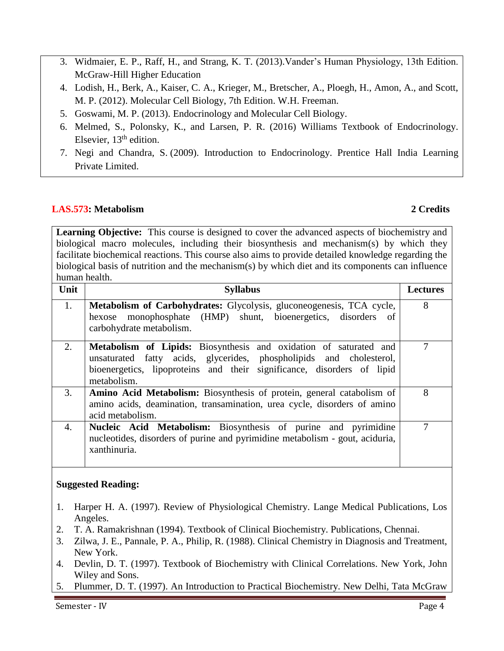- 3. Widmaier, E. P., Raff, H., and Strang, K. T. (2013).Vander's Human Physiology, 13th Edition. McGraw-Hill Higher Education
- 4. Lodish, H., Berk, A., Kaiser, C. A., Krieger, M., Bretscher, A., Ploegh, H., Amon, A., and Scott, M. P. (2012). Molecular Cell Biology, 7th Edition. W.H. Freeman.
- 5. [Goswami,](http://www.amazon.in/s/ref=dp_byline_sr_book_1?ie=UTF8&field-author=M+P+Goswami&search-alias=stripbooks) M. P. (2013). Endocrinology and Molecular Cell Biology.
- 6. [Melmed,](http://www.amazon.in/s/ref=dp_byline_sr_book_1?ie=UTF8&field-author=Shlomo+Melmed&search-alias=stripbooks) S., [Polonsky,](http://www.amazon.in/s/ref=dp_byline_sr_book_2?ie=UTF8&field-author=Kenneth+Polonsky&search-alias=stripbooks) K., and [Larsen,](http://www.amazon.in/s/ref=dp_byline_sr_book_3?ie=UTF8&field-author=P.+Reed+Larsen&search-alias=stripbooks) P. R. (2016) Williams Textbook of Endocrinology. Elsevier,  $13<sup>th</sup>$  edition.
- 7. [Negi](http://www.amazon.in/s/ref=dp_byline_sr_book_1?ie=UTF8&field-author=Negi&search-alias=stripbooks) and [Chandra,](http://www.amazon.in/s/ref=dp_byline_sr_book_2?ie=UTF8&field-author=Chandra+S&search-alias=stripbooks) S. (2009). Introduction to Endocrinology. Prentice Hall India Learning Private Limited.

### **LAS.573: Metabolism 2 Credits**

**Learning Objective:** This course is designed to cover the advanced aspects of biochemistry and biological macro molecules, including their biosynthesis and mechanism(s) by which they facilitate biochemical reactions. This course also aims to provide detailed knowledge regarding the biological basis of nutrition and the mechanism(s) by which diet and its components can influence human health.

| Unit | <b>Syllabus</b>                                                                                                                                                                                                                          | <b>Lectures</b> |
|------|------------------------------------------------------------------------------------------------------------------------------------------------------------------------------------------------------------------------------------------|-----------------|
| 1.   | <b>Metabolism of Carbohydrates:</b> Glycolysis, gluconeogenesis, TCA cycle,<br>hexose monophosphate (HMP) shunt, bioenergetics, disorders of<br>carbohydrate metabolism.                                                                 | 8               |
| 2.   | <b>Metabolism of Lipids:</b> Biosynthesis and oxidation of saturated and<br>unsaturated fatty acids, glycerides, phospholipids and cholesterol,<br>bioenergetics, lipoproteins and their significance, disorders of lipid<br>metabolism. | 7               |
| 3.   | <b>Amino Acid Metabolism:</b> Biosynthesis of protein, general catabolism of<br>amino acids, deamination, transamination, urea cycle, disorders of amino<br>acid metabolism.                                                             | 8               |
| 4.   | Nucleic Acid Metabolism: Biosynthesis of purine and pyrimidine<br>nucleotides, disorders of purine and pyrimidine metabolism - gout, aciduria,<br>xanthinuria.                                                                           | 7               |

### **Suggested Reading:**

- 1. Harper H. A. (1997). Review of Physiological Chemistry. Lange Medical Publications, Los Angeles.
- 2. T. A. Ramakrishnan (1994). Textbook of Clinical Biochemistry. Publications, Chennai.
- 3. Zilwa, J. E., Pannale, P. A., Philip, R. (1988). Clinical Chemistry in Diagnosis and Treatment, New York.
- 4. Devlin, D. T. (1997). Textbook of Biochemistry with Clinical Correlations. New York, John Wiley and Sons.
- 5. Plummer, D. T. (1997). An Introduction to Practical Biochemistry. New Delhi, Tata McGraw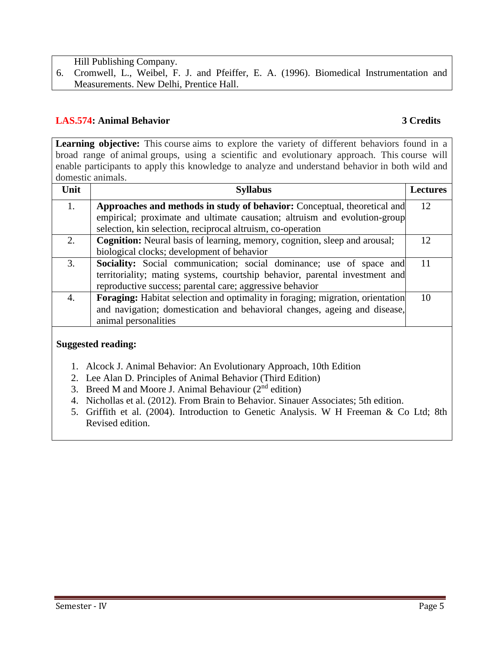Hill Publishing Company.

6. Cromwell, L., Weibel, F. J. and Pfeiffer, E. A. (1996). Biomedical Instrumentation and Measurements. New Delhi, Prentice Hall.

### **LAS.574: Animal Behavior 3 Credits**

Learning objective: This course aims to explore the variety of different behaviors found in a broad range of animal groups, using a scientific and evolutionary approach. This course will enable participants to apply this knowledge to analyze and understand behavior in both wild and domestic animals.

| Unit | <b>Syllabus</b>                                                                | <b>Lectures</b> |
|------|--------------------------------------------------------------------------------|-----------------|
| 1.   | Approaches and methods in study of behavior: Conceptual, theoretical and       | 12              |
|      | empirical; proximate and ultimate causation; altruism and evolution-group      |                 |
|      | selection, kin selection, reciprocal altruism, co-operation                    |                 |
| 2.   | Cognition: Neural basis of learning, memory, cognition, sleep and arousal;     | 12              |
|      | biological clocks; development of behavior                                     |                 |
| 3.   | Sociality: Social communication; social dominance; use of space and            | 11              |
|      | territoriality; mating systems, courtship behavior, parental investment and    |                 |
|      | reproductive success; parental care; aggressive behavior                       |                 |
| 4.   | Foraging: Habitat selection and optimality in foraging; migration, orientation | 10              |
|      | and navigation; domestication and behavioral changes, ageing and disease,      |                 |
|      | animal personalities                                                           |                 |

### **Suggested reading:**

- 1. Alcock J. Animal Behavior: An Evolutionary Approach, 10th Edition
- 2. Lee Alan D. Principles of Animal Behavior (Third Edition)
- 3. Breed M and Moore J. Animal Behaviour  $(2<sup>nd</sup>$  edition)
- 4. Nichollas et al. (2012). From Brain to Behavior. Sinauer Associates; 5th edition.
- 5. Griffith et al. (2004). Introduction to Genetic Analysis. W H Freeman & Co Ltd; 8th Revised edition.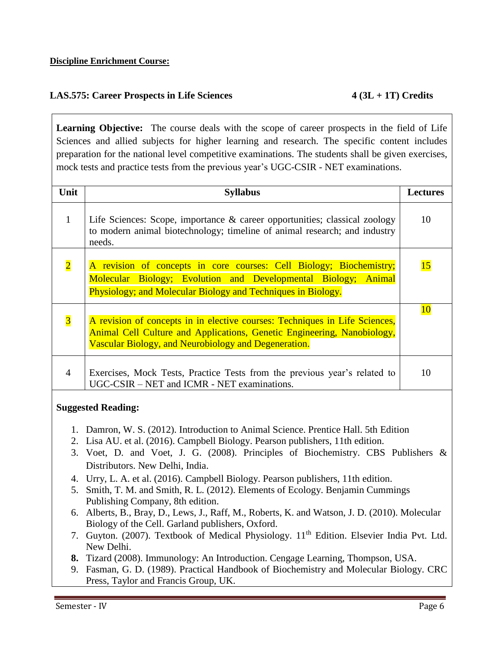# **LAS.575: Career Prospects in Life Sciences 4 (3L + 1T) Credits**

**Learning Objective:** The course deals with the scope of career prospects in the field of Life Sciences and allied subjects for higher learning and research. The specific content includes preparation for the national level competitive examinations. The students shall be given exercises, mock tests and practice tests from the previous year's UGC-CSIR - NET examinations.

| Unit                    | <b>Syllabus</b>                                                                                                                                                                                                | Lectures |
|-------------------------|----------------------------------------------------------------------------------------------------------------------------------------------------------------------------------------------------------------|----------|
| $\mathbf{1}$            | Life Sciences: Scope, importance $\&$ career opportunities; classical zoology<br>to modern animal biotechnology; timeline of animal research; and industry<br>needs.                                           | 10       |
| $\overline{\mathbf{2}}$ | A revision of concepts in core courses: Cell Biology; Biochemistry;<br>Molecular Biology; Evolution and Developmental Biology; Animal<br>Physiology; and Molecular Biology and Techniques in Biology.          | 15       |
| $\overline{\mathbf{3}}$ | A revision of concepts in in elective courses: Techniques in Life Sciences,<br>Animal Cell Culture and Applications, Genetic Engineering, Nanobiology,<br>Vascular Biology, and Neurobiology and Degeneration. | 10       |
| 4                       | Exercises, Mock Tests, Practice Tests from the previous year's related to<br>UGC-CSIR – NET and ICMR - NET examinations.                                                                                       | 10       |

### **Suggested Reading:**

- 1. Damron, W. S. (2012). Introduction to Animal Science. Prentice Hall. 5th Edition
- 2. Lisa AU. et al. (2016). Campbell Biology. Pearson publishers, 11th edition.
- 3. Voet, D. and Voet, J. G. (2008). Principles of Biochemistry. CBS Publishers & Distributors. New Delhi, India.
- 4. Urry, L. A. et al. (2016). Campbell Biology. Pearson publishers, 11th edition.
- 5. Smith, T. M. and Smith, R. L. (2012). Elements of Ecology. Benjamin Cummings Publishing Company, 8th edition.
- 6. Alberts, B., Bray, D., Lews, J., Raff, M., Roberts, K. and Watson, J. D. (2010). Molecular Biology of the Cell. Garland publishers, Oxford.
- 7. Guyton. (2007). Textbook of Medical Physiology. 11<sup>th</sup> Edition. Elsevier India Pvt. Ltd. New Delhi.
- **8.** Tizard (2008). Immunology: An Introduction. Cengage Learning, Thompson, USA.
- 9. Fasman, G. D. (1989). Practical Handbook of Biochemistry and Molecular Biology. CRC Press, Taylor and Francis Group, UK.